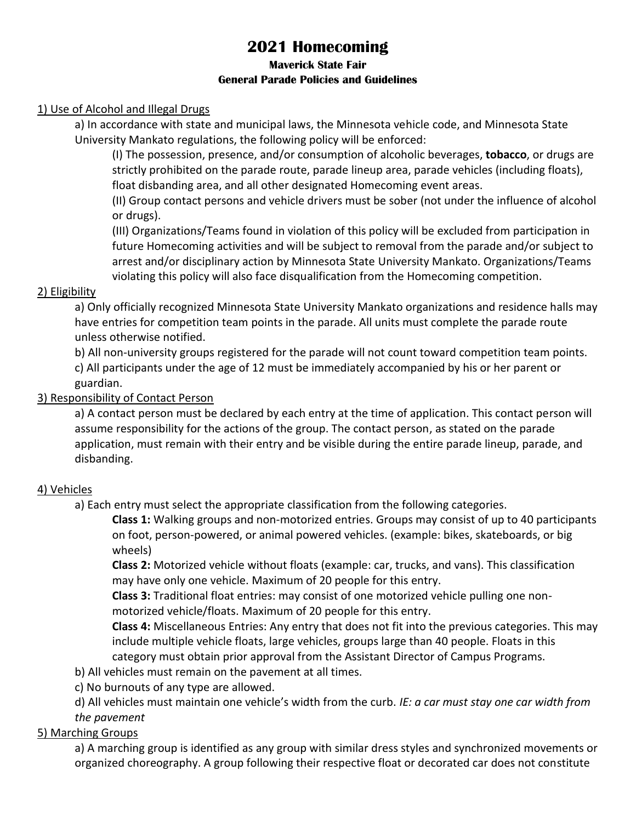# **2021 Homecoming**

#### **Maverick State Fair General Parade Policies and Guidelines**

#### 1) Use of Alcohol and Illegal Drugs

a) In accordance with state and municipal laws, the Minnesota vehicle code, and Minnesota State University Mankato regulations, the following policy will be enforced:

(I) The possession, presence, and/or consumption of alcoholic beverages, **tobacco**, or drugs are strictly prohibited on the parade route, parade lineup area, parade vehicles (including floats), float disbanding area, and all other designated Homecoming event areas.

(II) Group contact persons and vehicle drivers must be sober (not under the influence of alcohol or drugs).

(III) Organizations/Teams found in violation of this policy will be excluded from participation in future Homecoming activities and will be subject to removal from the parade and/or subject to arrest and/or disciplinary action by Minnesota State University Mankato. Organizations/Teams violating this policy will also face disqualification from the Homecoming competition.

#### 2) Eligibility

a) Only officially recognized Minnesota State University Mankato organizations and residence halls may have entries for competition team points in the parade. All units must complete the parade route unless otherwise notified.

b) All non-university groups registered for the parade will not count toward competition team points.

c) All participants under the age of 12 must be immediately accompanied by his or her parent or guardian.

## 3) Responsibility of Contact Person

a) A contact person must be declared by each entry at the time of application. This contact person will assume responsibility for the actions of the group. The contact person, as stated on the parade application, must remain with their entry and be visible during the entire parade lineup, parade, and disbanding.

## 4) Vehicles

a) Each entry must select the appropriate classification from the following categories.

**Class 1:** Walking groups and non-motorized entries. Groups may consist of up to 40 participants on foot, person-powered, or animal powered vehicles. (example: bikes, skateboards, or big wheels)

**Class 2:** Motorized vehicle without floats (example: car, trucks, and vans). This classification may have only one vehicle. Maximum of 20 people for this entry.

**Class 3:** Traditional float entries: may consist of one motorized vehicle pulling one nonmotorized vehicle/floats. Maximum of 20 people for this entry.

**Class 4:** Miscellaneous Entries: Any entry that does not fit into the previous categories. This may include multiple vehicle floats, large vehicles, groups large than 40 people. Floats in this category must obtain prior approval from the Assistant Director of Campus Programs.

b) All vehicles must remain on the pavement at all times.

c) No burnouts of any type are allowed.

d) All vehicles must maintain one vehicle's width from the curb. *IE: a car must stay one car width from the pavement*

## 5) Marching Groups

a) A marching group is identified as any group with similar dress styles and synchronized movements or organized choreography. A group following their respective float or decorated car does not constitute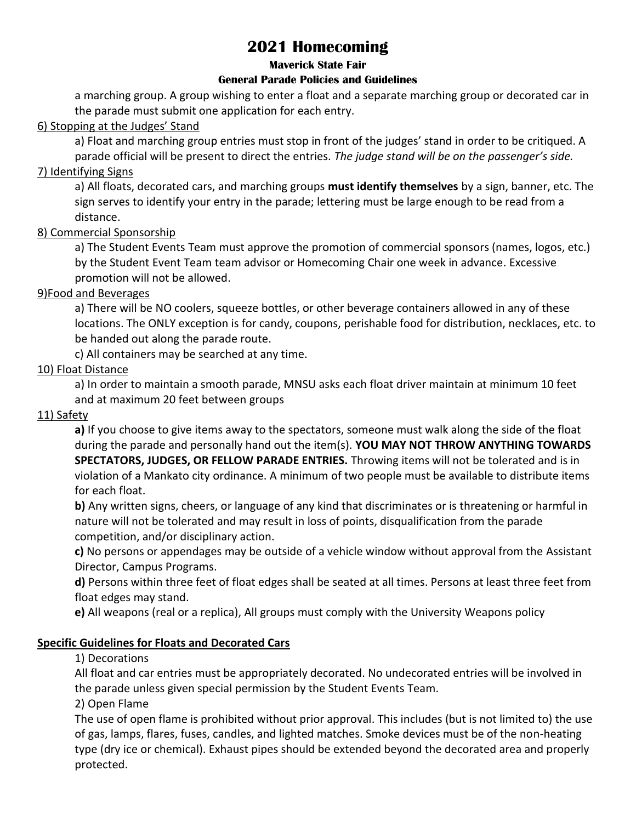# **2021 Homecoming**

#### **Maverick State Fair**

#### **General Parade Policies and Guidelines**

a marching group. A group wishing to enter a float and a separate marching group or decorated car in the parade must submit one application for each entry.

#### 6) Stopping at the Judges' Stand

a) Float and marching group entries must stop in front of the judges' stand in order to be critiqued. A parade official will be present to direct the entries. *The judge stand will be on the passenger's side.*

#### 7) Identifying Signs

a) All floats, decorated cars, and marching groups **must identify themselves** by a sign, banner, etc. The sign serves to identify your entry in the parade; lettering must be large enough to be read from a distance.

#### 8) Commercial Sponsorship

a) The Student Events Team must approve the promotion of commercial sponsors (names, logos, etc.) by the Student Event Team team advisor or Homecoming Chair one week in advance. Excessive promotion will not be allowed.

#### 9)Food and Beverages

a) There will be NO coolers, squeeze bottles, or other beverage containers allowed in any of these locations. The ONLY exception is for candy, coupons, perishable food for distribution, necklaces, etc. to be handed out along the parade route.

c) All containers may be searched at any time.

#### 10) Float Distance

a) In order to maintain a smooth parade, MNSU asks each float driver maintain at minimum 10 feet and at maximum 20 feet between groups

#### 11) Safety

**a)** If you choose to give items away to the spectators, someone must walk along the side of the float during the parade and personally hand out the item(s). **YOU MAY NOT THROW ANYTHING TOWARDS SPECTATORS, JUDGES, OR FELLOW PARADE ENTRIES.** Throwing items will not be tolerated and is in violation of a Mankato city ordinance. A minimum of two people must be available to distribute items for each float.

**b)** Any written signs, cheers, or language of any kind that discriminates or is threatening or harmful in nature will not be tolerated and may result in loss of points, disqualification from the parade competition, and/or disciplinary action.

**c)** No persons or appendages may be outside of a vehicle window without approval from the Assistant Director, Campus Programs.

**d)** Persons within three feet of float edges shall be seated at all times. Persons at least three feet from float edges may stand.

**e)** All weapons (real or a replica), All groups must comply with the University Weapons policy

#### **Specific Guidelines for Floats and Decorated Cars**

1) Decorations

All float and car entries must be appropriately decorated. No undecorated entries will be involved in the parade unless given special permission by the Student Events Team.

2) Open Flame

The use of open flame is prohibited without prior approval. This includes (but is not limited to) the use of gas, lamps, flares, fuses, candles, and lighted matches. Smoke devices must be of the non-heating type (dry ice or chemical). Exhaust pipes should be extended beyond the decorated area and properly protected.